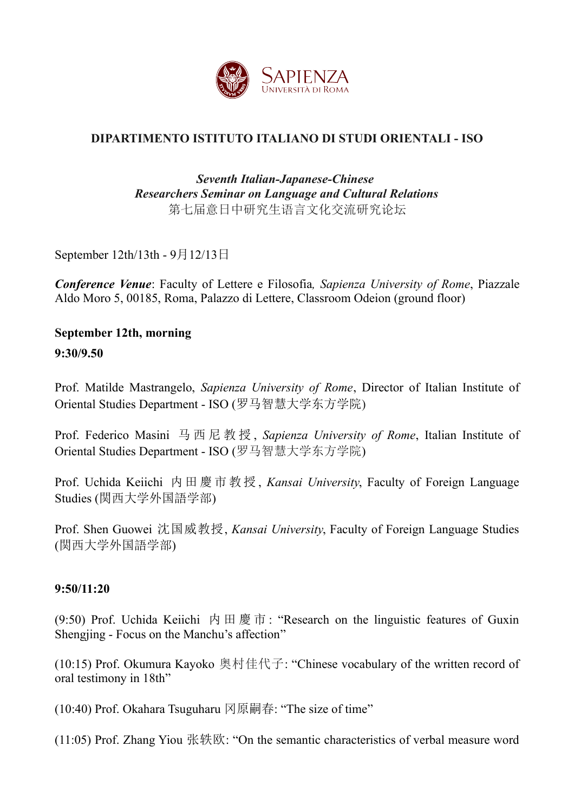

# **DIPARTIMENTO ISTITUTO ITALIANO DI STUDI ORIENTALI - ISO**

## *Seventh Italian-Japanese-Chinese Researchers Seminar on Language and Cultural Relations* 第七届意日中研究生语言文化交流研究论坛

September 12th/13th - 9月12/13日

*Conference Venue*: Faculty of Lettere e Filosofia*, Sapienza University of Rome*, Piazzale Aldo Moro 5, 00185, Roma, Palazzo di Lettere, Classroom Odeion (ground floor)

# **September 12th, morning**

**9:30/9.50**

Prof. Matilde Mastrangelo, *Sapienza University of Rome*, Director of Italian Institute of Oriental Studies Department - ISO (罗马智慧大学东方学院)

Prof. Federico Masini 马 西 尼 教 授 , *Sapienza University of Rome*, Italian Institute of Oriental Studies Department - ISO (罗马智慧大学东方学院)

Prof. Uchida Keiichi 内田 慶市 教授 , *Kansai University*, Faculty of Foreign Language Studies (関西大学外国語学部)

Prof. Shen Guowei 沈国威教授, *Kansai University*, Faculty of Foreign Language Studies (関西大学外国語学部)

#### **9:50/11:20**

(9:50) Prof. Uchida Keiichi 内田慶市: "Research on the linguistic features of Guxin Shengjing - Focus on the Manchu's affection"

(10:15) Prof. Okumura Kayoko 奥村佳代子: "Chinese vocabulary of the written record of oral testimony in 18th"

(10:40) Prof. Okahara Tsuguharu 冈原嗣春: "The size of time"

(11:05) Prof. Zhang Yiou 张轶欧: "On the semantic characteristics of verbal measure word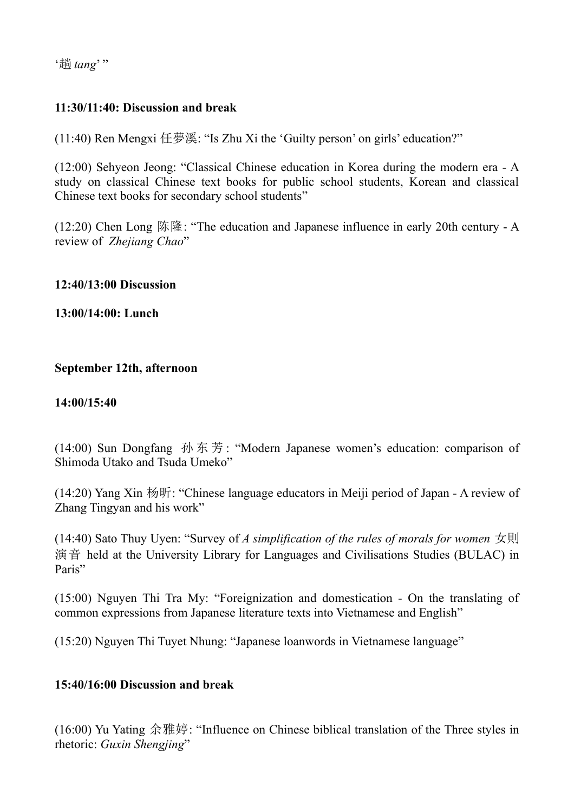'趟 *tang*' "

# **11:30/11:40: Discussion and break**

(11:40) Ren Mengxi 任夢溪: "Is Zhu Xi the 'Guilty person' on girls' education?"

(12:00) Sehyeon Jeong: "Classical Chinese education in Korea during the modern era - A study on classical Chinese text books for public school students, Korean and classical Chinese text books for secondary school students"

(12:20) Chen Long 陈隆: "The education and Japanese influence in early 20th century - A review of *Zhejiang Chao*"

#### **12:40/13:00 Discussion**

**13:00/14:00: Lunch**

#### **September 12th, afternoon**

#### **14:00/15:40**

(14:00) Sun Dongfang 孙东芳: "Modern Japanese women's education: comparison of Shimoda Utako and Tsuda Umeko"

(14:20) Yang Xin 杨昕: "Chinese language educators in Meiji period of Japan - A review of Zhang Tingyan and his work"

(14:40) Sato Thuy Uyen: "Survey of *A simplification of the rules of morals for women* 女則 演音 held at the University Library for Languages and Civilisations Studies (BULAC) in Paris"

(15:00) Nguyen Thi Tra My: "Foreignization and domestication - On the translating of common expressions from Japanese literature texts into Vietnamese and English"

(15:20) Nguyen Thi Tuyet Nhung: "Japanese loanwords in Vietnamese language"

#### **15:40/16:00 Discussion and break**

(16:00) Yu Yating 余雅婷: "Influence on Chinese biblical translation of the Three styles in rhetoric: *Guxin Shengjing*"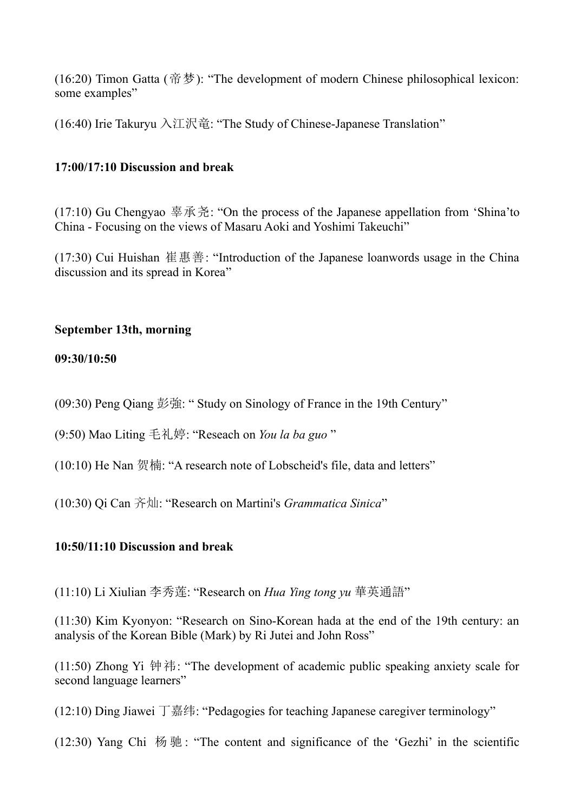(16:20) Timon Gatta (帝梦): "The development of modern Chinese philosophical lexicon: some examples"

(16:40) Irie Takuryu 入江沢竜: "The Study of Chinese-Japanese Translation"

## **17:00/17:10 Discussion and break**

(17:10) Gu Chengyao 辜承尧: "On the process of the Japanese appellation from 'Shina'to China - Focusing on the views of Masaru Aoki and Yoshimi Takeuchi"

(17:30) Cui Huishan 崔惠善: "Introduction of the Japanese loanwords usage in the China discussion and its spread in Korea"

## **September 13th, morning**

#### **09:30/10:50**

(09:30) Peng Qiang 彭強: " Study on Sinology of France in the 19th Century"

(9:50) Mao Liting 毛礼婷: "Reseach on *You la ba guo* "

(10:10) He Nan 贺楠: "A research note of Lobscheid's file, data and letters"

(10:30) Qi Can 齐灿: "Research on Martini's *Grammatica Sinica*"

#### **10:50/11:10 Discussion and break**

(11:10) Li Xiulian 李秀莲: "Research on *Hua Ying tong yu* 華英通語"

(11:30) Kim Kyonyon: "Research on Sino-Korean hada at the end of the 19th century: an analysis of the Korean Bible (Mark) by Ri Jutei and John Ross"

(11:50) Zhong Yi 钟祎: "The development of academic public speaking anxiety scale for second language learners"

(12:10) Ding Jiawei 丁嘉纬: "Pedagogies for teaching Japanese caregiver terminology"

(12:30) Yang Chi 杨 驰 : "The content and significance of the 'Gezhi' in the scientific